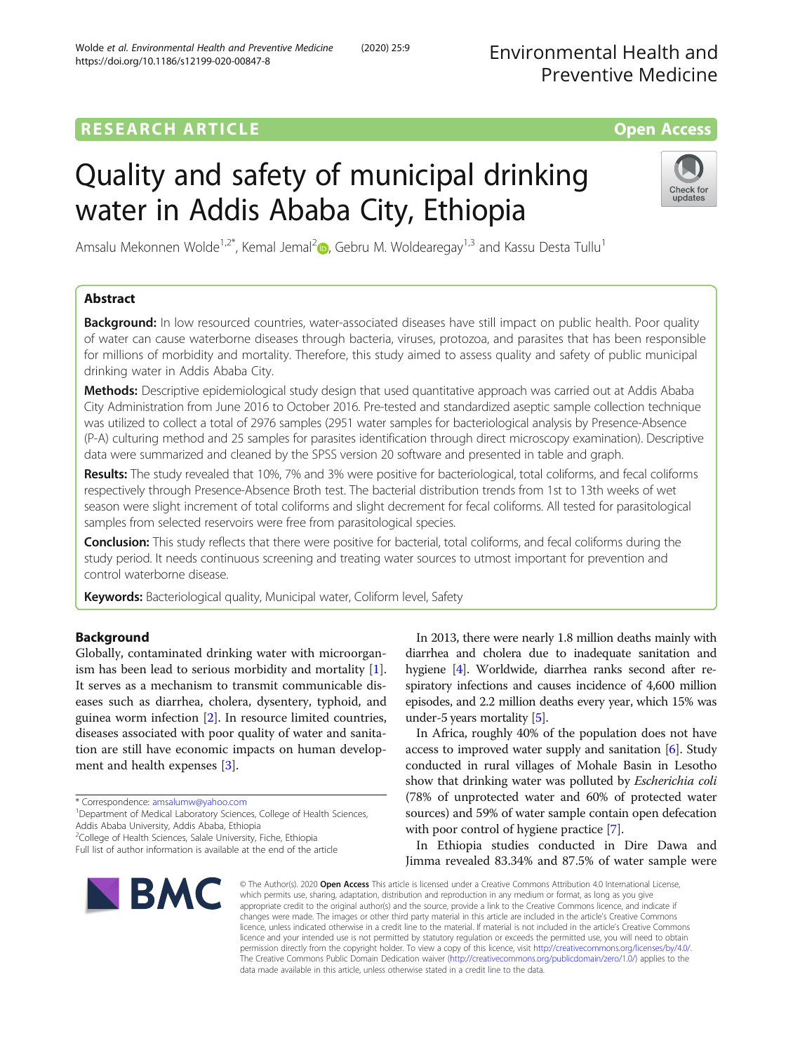# Quality and safety of municipal drinking water in Addis Ababa City, Ethiopia

Amsalu Mekonnen Wolde<sup>1,[2](https://orcid.org/0000-0001-8922-1827)\*</sup>, Kemal Jemal<sup>2</sup> , Gebru M. Woldearegay<sup>1,3</sup> and Kassu Desta Tullu<sup>1</sup>

# Abstract

**Background:** In low resourced countries, water-associated diseases have still impact on public health. Poor quality of water can cause waterborne diseases through bacteria, viruses, protozoa, and parasites that has been responsible for millions of morbidity and mortality. Therefore, this study aimed to assess quality and safety of public municipal drinking water in Addis Ababa City.

Methods: Descriptive epidemiological study design that used quantitative approach was carried out at Addis Ababa City Administration from June 2016 to October 2016. Pre-tested and standardized aseptic sample collection technique was utilized to collect a total of 2976 samples (2951 water samples for bacteriological analysis by Presence-Absence (P-A) culturing method and 25 samples for parasites identification through direct microscopy examination). Descriptive data were summarized and cleaned by the SPSS version 20 software and presented in table and graph.

Results: The study revealed that 10%, 7% and 3% were positive for bacteriological, total coliforms, and fecal coliforms respectively through Presence-Absence Broth test. The bacterial distribution trends from 1st to 13th weeks of wet season were slight increment of total coliforms and slight decrement for fecal coliforms. All tested for parasitological samples from selected reservoirs were free from parasitological species.

**Conclusion:** This study reflects that there were positive for bacterial, total coliforms, and fecal coliforms during the study period. It needs continuous screening and treating water sources to utmost important for prevention and control waterborne disease.

Keywords: Bacteriological quality, Municipal water, Coliform level, Safety

# Background

Globally, contaminated drinking water with microorganism has been lead to serious morbidity and mortality [\[1](#page-4-0)]. It serves as a mechanism to transmit communicable diseases such as diarrhea, cholera, dysentery, typhoid, and guinea worm infection [[2\]](#page-4-0). In resource limited countries, diseases associated with poor quality of water and sanitation are still have economic impacts on human development and health expenses [\[3](#page-4-0)].

\* Correspondence: [amsalumw@yahoo.com](mailto:amsalumw@yahoo.com) <sup>1</sup>

<sup>1</sup>Department of Medical Laboratory Sciences, College of Health Sciences, Addis Ababa University, Addis Ababa, Ethiopia

<sup>2</sup>College of Health Sciences, Salale University, Fiche, Ethiopia

Full list of author information is available at the end of the article

In 2013, there were nearly 1.8 million deaths mainly with diarrhea and cholera due to inadequate sanitation and hygiene [[4\]](#page-4-0). Worldwide, diarrhea ranks second after respiratory infections and causes incidence of 4,600 million episodes, and 2.2 million deaths every year, which 15% was under-5 years mortality [\[5\]](#page-4-0).

In Africa, roughly 40% of the population does not have access to improved water supply and sanitation [[6\]](#page-4-0). Study conducted in rural villages of Mohale Basin in Lesotho show that drinking water was polluted by Escherichia coli (78% of unprotected water and 60% of protected water sources) and 59% of water sample contain open defecation with poor control of hygiene practice [[7](#page-4-0)].

In Ethiopia studies conducted in Dire Dawa and Jimma revealed 83.34% and 87.5% of water sample were

© The Author(s), 2020 **Open Access** This article is licensed under a Creative Commons Attribution 4.0 International License, which permits use, sharing, adaptation, distribution and reproduction in any medium or format, as long as you give appropriate credit to the original author(s) and the source, provide a link to the Creative Commons licence, and indicate if changes were made. The images or other third party material in this article are included in the article's Creative Commons licence, unless indicated otherwise in a credit line to the material. If material is not included in the article's Creative Commons licence and your intended use is not permitted by statutory regulation or exceeds the permitted use, you will need to obtain permission directly from the copyright holder. To view a copy of this licence, visit [http://creativecommons.org/licenses/by/4.0/.](http://creativecommons.org/licenses/by/4.0/) The Creative Commons Public Domain Dedication waiver [\(http://creativecommons.org/publicdomain/zero/1.0/](http://creativecommons.org/publicdomain/zero/1.0/)) applies to the data made available in this article, unless otherwise stated in a credit line to the data.





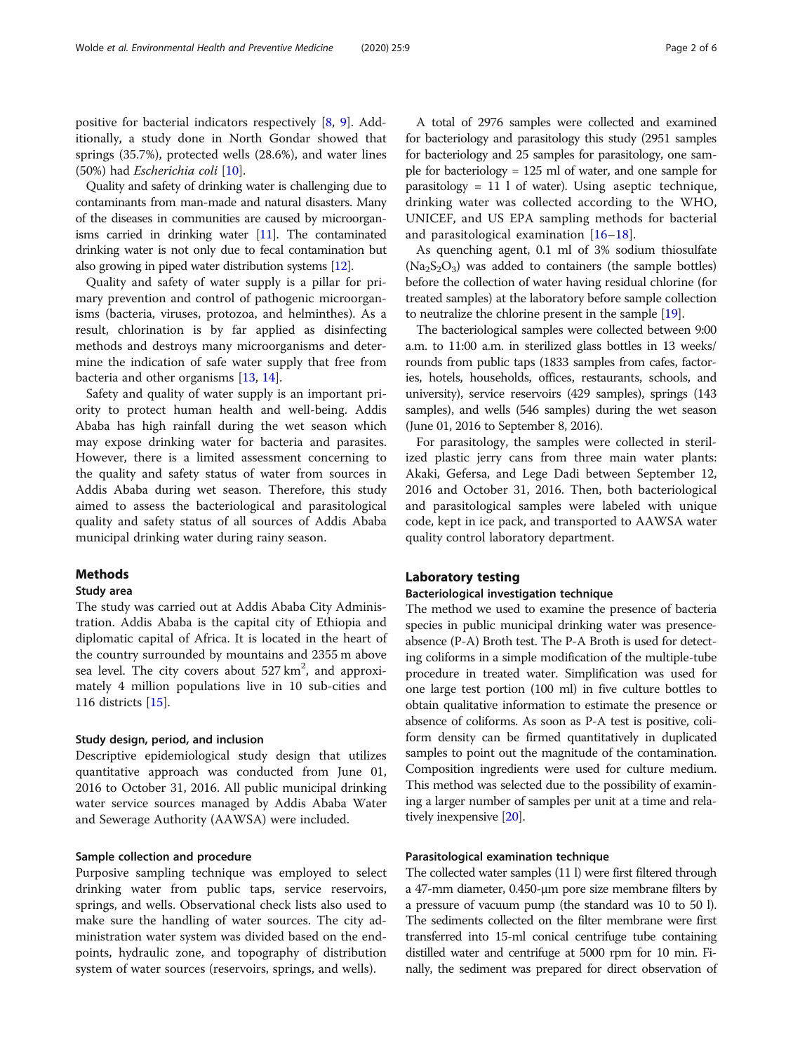positive for bacterial indicators respectively [[8](#page-4-0), [9](#page-4-0)]. Additionally, a study done in North Gondar showed that springs (35.7%), protected wells (28.6%), and water lines (50%) had Escherichia coli [[10](#page-4-0)].

Quality and safety of drinking water is challenging due to contaminants from man-made and natural disasters. Many of the diseases in communities are caused by microorganisms carried in drinking water [\[11\]](#page-4-0). The contaminated drinking water is not only due to fecal contamination but also growing in piped water distribution systems [\[12\]](#page-4-0).

Quality and safety of water supply is a pillar for primary prevention and control of pathogenic microorganisms (bacteria, viruses, protozoa, and helminthes). As a result, chlorination is by far applied as disinfecting methods and destroys many microorganisms and determine the indication of safe water supply that free from bacteria and other organisms [\[13,](#page-4-0) [14\]](#page-4-0).

Safety and quality of water supply is an important priority to protect human health and well-being. Addis Ababa has high rainfall during the wet season which may expose drinking water for bacteria and parasites. However, there is a limited assessment concerning to the quality and safety status of water from sources in Addis Ababa during wet season. Therefore, this study aimed to assess the bacteriological and parasitological quality and safety status of all sources of Addis Ababa municipal drinking water during rainy season.

# Methods

#### Study area

The study was carried out at Addis Ababa City Administration. Addis Ababa is the capital city of Ethiopia and diplomatic capital of Africa. It is located in the heart of the country surrounded by mountains and 2355 m above sea level. The city covers about  $527 \text{ km}^2$ , and approximately 4 million populations live in 10 sub-cities and 116 districts [[15\]](#page-4-0).

## Study design, period, and inclusion

Descriptive epidemiological study design that utilizes quantitative approach was conducted from June 01, 2016 to October 31, 2016. All public municipal drinking water service sources managed by Addis Ababa Water and Sewerage Authority (AAWSA) were included.

#### Sample collection and procedure

Purposive sampling technique was employed to select drinking water from public taps, service reservoirs, springs, and wells. Observational check lists also used to make sure the handling of water sources. The city administration water system was divided based on the endpoints, hydraulic zone, and topography of distribution system of water sources (reservoirs, springs, and wells).

A total of 2976 samples were collected and examined for bacteriology and parasitology this study (2951 samples for bacteriology and 25 samples for parasitology, one sample for bacteriology = 125 ml of water, and one sample for parasitology = 11 l of water). Using aseptic technique, drinking water was collected according to the WHO, UNICEF, and US EPA sampling methods for bacterial and parasitological examination [\[16](#page-4-0)–[18](#page-5-0)].

As quenching agent, 0.1 ml of 3% sodium thiosulfate  $(Na<sub>2</sub>S<sub>2</sub>O<sub>3</sub>)$  was added to containers (the sample bottles) before the collection of water having residual chlorine (for treated samples) at the laboratory before sample collection to neutralize the chlorine present in the sample [[19](#page-5-0)].

The bacteriological samples were collected between 9:00 a.m. to 11:00 a.m. in sterilized glass bottles in 13 weeks/ rounds from public taps (1833 samples from cafes, factories, hotels, households, offices, restaurants, schools, and university), service reservoirs (429 samples), springs (143 samples), and wells (546 samples) during the wet season (June 01, 2016 to September 8, 2016).

For parasitology, the samples were collected in sterilized plastic jerry cans from three main water plants: Akaki, Gefersa, and Lege Dadi between September 12, 2016 and October 31, 2016. Then, both bacteriological and parasitological samples were labeled with unique code, kept in ice pack, and transported to AAWSA water quality control laboratory department.

#### Laboratory testing

# Bacteriological investigation technique

The method we used to examine the presence of bacteria species in public municipal drinking water was presenceabsence (P-A) Broth test. The P-A Broth is used for detecting coliforms in a simple modification of the multiple-tube procedure in treated water. Simplification was used for one large test portion (100 ml) in five culture bottles to obtain qualitative information to estimate the presence or absence of coliforms. As soon as P-A test is positive, coliform density can be firmed quantitatively in duplicated samples to point out the magnitude of the contamination. Composition ingredients were used for culture medium. This method was selected due to the possibility of examining a larger number of samples per unit at a time and relatively inexpensive [[20](#page-5-0)].

#### Parasitological examination technique

The collected water samples (11 l) were first filtered through a 47-mm diameter, 0.450-μm pore size membrane filters by a pressure of vacuum pump (the standard was 10 to 50 l). The sediments collected on the filter membrane were first transferred into 15-ml conical centrifuge tube containing distilled water and centrifuge at 5000 rpm for 10 min. Finally, the sediment was prepared for direct observation of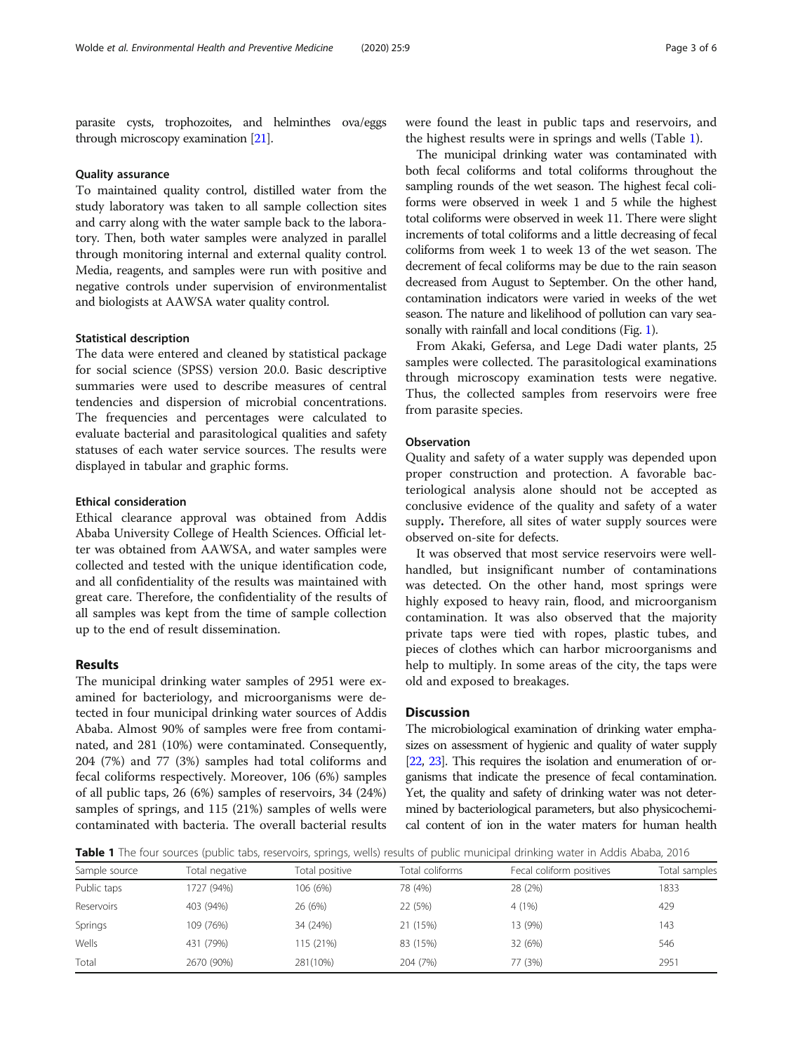parasite cysts, trophozoites, and helminthes ova/eggs through microscopy examination [\[21](#page-5-0)].

# Quality assurance

To maintained quality control, distilled water from the study laboratory was taken to all sample collection sites and carry along with the water sample back to the laboratory. Then, both water samples were analyzed in parallel through monitoring internal and external quality control. Media, reagents, and samples were run with positive and negative controls under supervision of environmentalist and biologists at AAWSA water quality control.

## Statistical description

The data were entered and cleaned by statistical package for social science (SPSS) version 20.0. Basic descriptive summaries were used to describe measures of central tendencies and dispersion of microbial concentrations. The frequencies and percentages were calculated to evaluate bacterial and parasitological qualities and safety statuses of each water service sources. The results were displayed in tabular and graphic forms.

## Ethical consideration

Ethical clearance approval was obtained from Addis Ababa University College of Health Sciences. Official letter was obtained from AAWSA, and water samples were collected and tested with the unique identification code, and all confidentiality of the results was maintained with great care. Therefore, the confidentiality of the results of all samples was kept from the time of sample collection up to the end of result dissemination.

#### Results

The municipal drinking water samples of 2951 were examined for bacteriology, and microorganisms were detected in four municipal drinking water sources of Addis Ababa. Almost 90% of samples were free from contaminated, and 281 (10%) were contaminated. Consequently, 204 (7%) and 77 (3%) samples had total coliforms and fecal coliforms respectively. Moreover, 106 (6%) samples of all public taps, 26 (6%) samples of reservoirs, 34 (24%) samples of springs, and 115 (21%) samples of wells were contaminated with bacteria. The overall bacterial results were found the least in public taps and reservoirs, and the highest results were in springs and wells (Table 1).

The municipal drinking water was contaminated with both fecal coliforms and total coliforms throughout the sampling rounds of the wet season. The highest fecal coliforms were observed in week 1 and 5 while the highest total coliforms were observed in week 11. There were slight increments of total coliforms and a little decreasing of fecal coliforms from week 1 to week 13 of the wet season. The decrement of fecal coliforms may be due to the rain season decreased from August to September. On the other hand, contamination indicators were varied in weeks of the wet season. The nature and likelihood of pollution can vary seasonally with rainfall and local conditions (Fig. [1](#page-3-0)).

From Akaki, Gefersa, and Lege Dadi water plants, 25 samples were collected. The parasitological examinations through microscopy examination tests were negative. Thus, the collected samples from reservoirs were free from parasite species.

# **Observation**

Quality and safety of a water supply was depended upon proper construction and protection. A favorable bacteriological analysis alone should not be accepted as conclusive evidence of the quality and safety of a water supply. Therefore, all sites of water supply sources were observed on-site for defects.

It was observed that most service reservoirs were wellhandled, but insignificant number of contaminations was detected. On the other hand, most springs were highly exposed to heavy rain, flood, and microorganism contamination. It was also observed that the majority private taps were tied with ropes, plastic tubes, and pieces of clothes which can harbor microorganisms and help to multiply. In some areas of the city, the taps were old and exposed to breakages.

# **Discussion**

The microbiological examination of drinking water emphasizes on assessment of hygienic and quality of water supply [[22,](#page-5-0) [23](#page-5-0)]. This requires the isolation and enumeration of organisms that indicate the presence of fecal contamination. Yet, the quality and safety of drinking water was not determined by bacteriological parameters, but also physicochemical content of ion in the water maters for human health

Table 1 The four sources (public tabs, reservoirs, springs, wells) results of public municipal drinking water in Addis Ababa, 2016

| Sample source | Total negative | Total positive | Total coliforms | Fecal coliform positives | Total samples |
|---------------|----------------|----------------|-----------------|--------------------------|---------------|
| Public taps   | 1727 (94%)     | 106 (6%)       | 78 (4%)         | 28 (2%)                  | 1833          |
| Reservoirs    | 403 (94%)      | 26 (6%)        | 22 (5%)         | 4(1%)                    | 429           |
| Springs       | 109 (76%)      | 34 (24%)       | 21 (15%)        | 13 (9%)                  | 143           |
| Wells         | 431 (79%)      | 115 (21%)      | 83 (15%)        | 32 (6%)                  | 546           |
| Total         | 2670 (90%)     | 281(10%)       | 204 (7%)        | 77 (3%)                  | 2951          |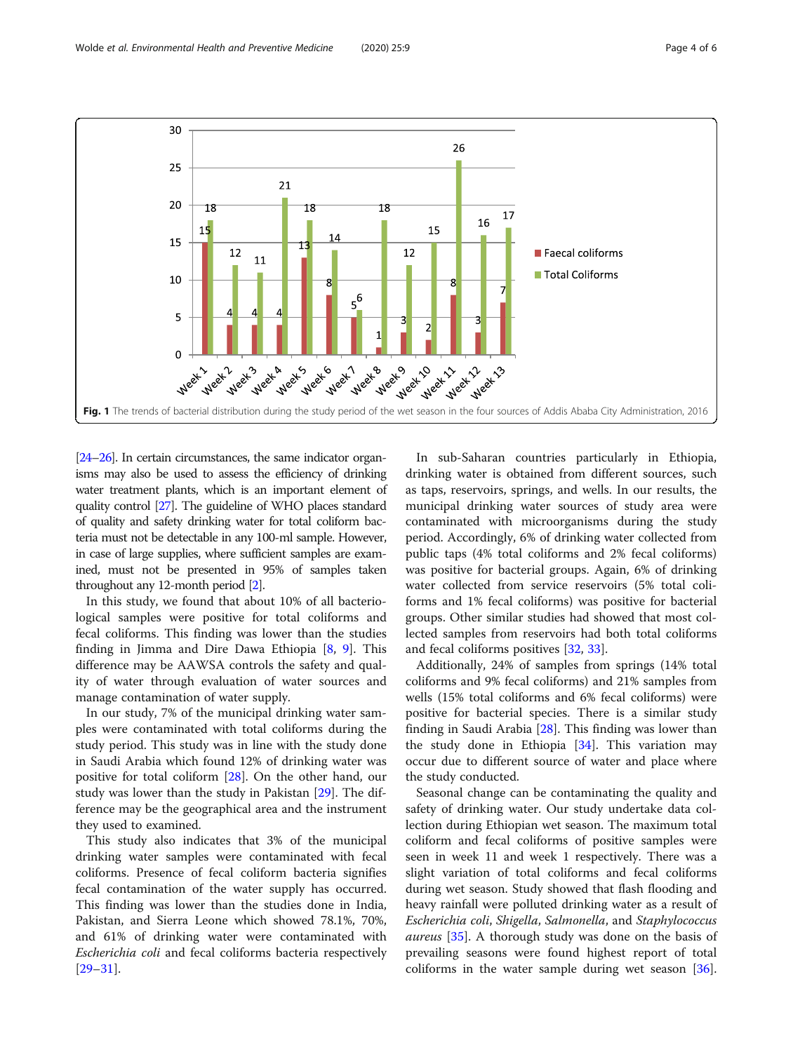<span id="page-3-0"></span>

[[24](#page-5-0)–[26\]](#page-5-0). In certain circumstances, the same indicator organisms may also be used to assess the efficiency of drinking water treatment plants, which is an important element of quality control [\[27](#page-5-0)]. The guideline of WHO places standard of quality and safety drinking water for total coliform bacteria must not be detectable in any 100-ml sample. However, in case of large supplies, where sufficient samples are examined, must not be presented in 95% of samples taken throughout any 12-month period [[2](#page-4-0)].

In this study, we found that about 10% of all bacteriological samples were positive for total coliforms and fecal coliforms. This finding was lower than the studies finding in Jimma and Dire Dawa Ethiopia [[8](#page-4-0), [9](#page-4-0)]. This difference may be AAWSA controls the safety and quality of water through evaluation of water sources and manage contamination of water supply.

In our study, 7% of the municipal drinking water samples were contaminated with total coliforms during the study period. This study was in line with the study done in Saudi Arabia which found 12% of drinking water was positive for total coliform [\[28](#page-5-0)]. On the other hand, our study was lower than the study in Pakistan [[29\]](#page-5-0). The difference may be the geographical area and the instrument they used to examined.

This study also indicates that 3% of the municipal drinking water samples were contaminated with fecal coliforms. Presence of fecal coliform bacteria signifies fecal contamination of the water supply has occurred. This finding was lower than the studies done in India, Pakistan, and Sierra Leone which showed 78.1%, 70%, and 61% of drinking water were contaminated with Escherichia coli and fecal coliforms bacteria respectively [[29](#page-5-0)–[31](#page-5-0)].

In sub-Saharan countries particularly in Ethiopia, drinking water is obtained from different sources, such as taps, reservoirs, springs, and wells. In our results, the municipal drinking water sources of study area were contaminated with microorganisms during the study period. Accordingly, 6% of drinking water collected from public taps (4% total coliforms and 2% fecal coliforms) was positive for bacterial groups. Again, 6% of drinking water collected from service reservoirs (5% total coliforms and 1% fecal coliforms) was positive for bacterial groups. Other similar studies had showed that most collected samples from reservoirs had both total coliforms and fecal coliforms positives [[32](#page-5-0), [33](#page-5-0)].

Additionally, 24% of samples from springs (14% total coliforms and 9% fecal coliforms) and 21% samples from wells (15% total coliforms and 6% fecal coliforms) were positive for bacterial species. There is a similar study finding in Saudi Arabia [[28\]](#page-5-0). This finding was lower than the study done in Ethiopia [[34](#page-5-0)]. This variation may occur due to different source of water and place where the study conducted.

Seasonal change can be contaminating the quality and safety of drinking water. Our study undertake data collection during Ethiopian wet season. The maximum total coliform and fecal coliforms of positive samples were seen in week 11 and week 1 respectively. There was a slight variation of total coliforms and fecal coliforms during wet season. Study showed that flash flooding and heavy rainfall were polluted drinking water as a result of Escherichia coli, Shigella, Salmonella, and Staphylococcus aureus [[35\]](#page-5-0). A thorough study was done on the basis of prevailing seasons were found highest report of total coliforms in the water sample during wet season [\[36](#page-5-0)].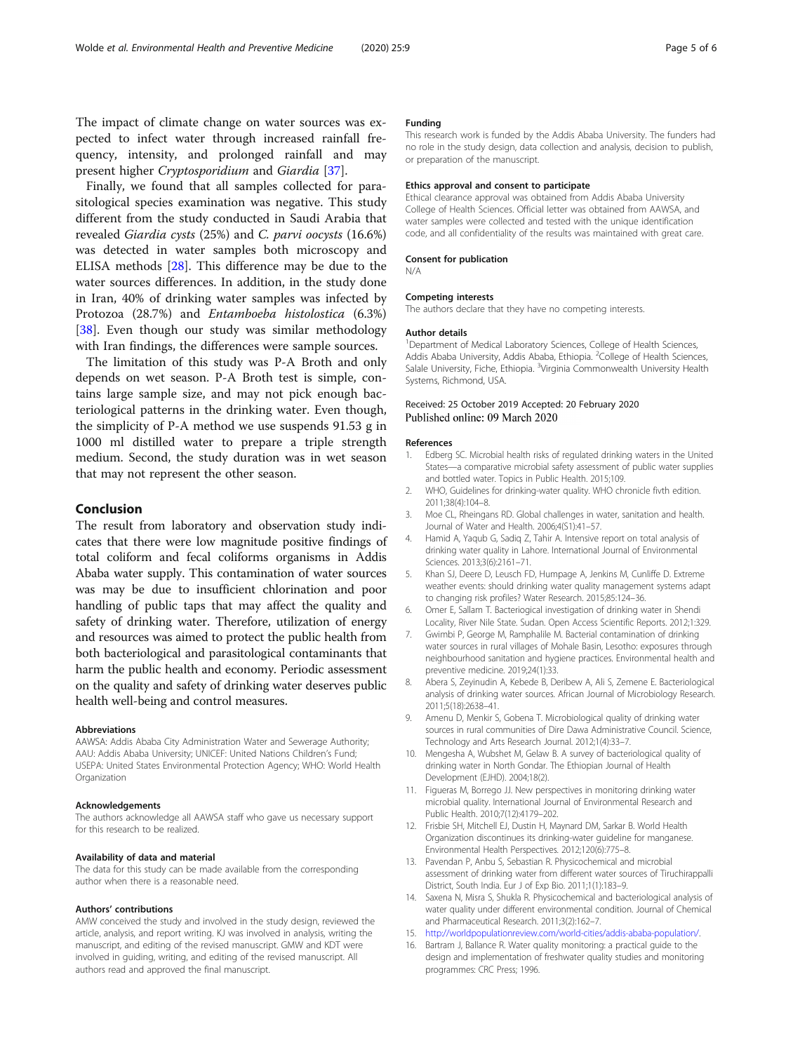<span id="page-4-0"></span>The impact of climate change on water sources was expected to infect water through increased rainfall frequency, intensity, and prolonged rainfall and may present higher Cryptosporidium and Giardia [\[37\]](#page-5-0).

Finally, we found that all samples collected for parasitological species examination was negative. This study different from the study conducted in Saudi Arabia that revealed Giardia cysts (25%) and C. parvi oocysts (16.6%) was detected in water samples both microscopy and ELISA methods [[28\]](#page-5-0). This difference may be due to the water sources differences. In addition, in the study done in Iran, 40% of drinking water samples was infected by Protozoa (28.7%) and Entamboeba histolostica (6.3%) [[38\]](#page-5-0). Even though our study was similar methodology with Iran findings, the differences were sample sources.

The limitation of this study was P-A Broth and only depends on wet season. P-A Broth test is simple, contains large sample size, and may not pick enough bacteriological patterns in the drinking water. Even though, the simplicity of P-A method we use suspends 91.53 g in 1000 ml distilled water to prepare a triple strength medium. Second, the study duration was in wet season that may not represent the other season.

# Conclusion

The result from laboratory and observation study indicates that there were low magnitude positive findings of total coliform and fecal coliforms organisms in Addis Ababa water supply. This contamination of water sources was may be due to insufficient chlorination and poor handling of public taps that may affect the quality and safety of drinking water. Therefore, utilization of energy and resources was aimed to protect the public health from both bacteriological and parasitological contaminants that harm the public health and economy. Periodic assessment on the quality and safety of drinking water deserves public health well-being and control measures.

#### **Abbreviations**

AAWSA: Addis Ababa City Administration Water and Sewerage Authority; AAU: Addis Ababa University; UNICEF: United Nations Children's Fund; USEPA: United States Environmental Protection Agency; WHO: World Health Organization

#### Acknowledgements

The authors acknowledge all AAWSA staff who gave us necessary support for this research to be realized.

#### Availability of data and material

The data for this study can be made available from the corresponding author when there is a reasonable need.

#### Authors' contributions

AMW conceived the study and involved in the study design, reviewed the article, analysis, and report writing. KJ was involved in analysis, writing the manuscript, and editing of the revised manuscript. GMW and KDT were involved in guiding, writing, and editing of the revised manuscript. All authors read and approved the final manuscript.

#### Funding

This research work is funded by the Addis Ababa University. The funders had no role in the study design, data collection and analysis, decision to publish, or preparation of the manuscript.

#### Ethics approval and consent to participate

Ethical clearance approval was obtained from Addis Ababa University College of Health Sciences. Official letter was obtained from AAWSA, and water samples were collected and tested with the unique identification code, and all confidentiality of the results was maintained with great care.

#### Consent for publication

N/A

#### Competing interests

The authors declare that they have no competing interests.

#### Author details

<sup>1</sup>Department of Medical Laboratory Sciences, College of Health Sciences, Addis Ababa University, Addis Ababa, Ethiopia. <sup>2</sup>College of Health Sciences, Salale University, Fiche, Ethiopia. <sup>3</sup>Virginia Commonwealth University Health Systems, Richmond, USA.

# Received: 25 October 2019 Accepted: 20 February 2020 Published online: 09 March 2020

#### References

- 1. Edberg SC. Microbial health risks of regulated drinking waters in the United States—a comparative microbial safety assessment of public water supplies and bottled water. Topics in Public Health. 2015;109.
- 2. WHO, Guidelines for drinking-water quality. WHO chronicle fivth edition. 2011;38(4):104–8.
- 3. Moe CL, Rheingans RD. Global challenges in water, sanitation and health. Journal of Water and Health. 2006;4(S1):41–57.
- 4. Hamid A, Yaqub G, Sadiq Z, Tahir A. Intensive report on total analysis of drinking water quality in Lahore. International Journal of Environmental Sciences. 2013;3(6):2161–71.
- 5. Khan SJ, Deere D, Leusch FD, Humpage A, Jenkins M, Cunliffe D. Extreme weather events: should drinking water quality management systems adapt to changing risk profiles? Water Research. 2015;85:124–36.
- 6. Omer E, Sallam T. Bacteriogical investigation of drinking water in Shendi Locality, River Nile State. Sudan. Open Access Scientific Reports. 2012;1:329.
- 7. Gwimbi P, George M, Ramphalile M. Bacterial contamination of drinking water sources in rural villages of Mohale Basin, Lesotho: exposures through neighbourhood sanitation and hygiene practices. Environmental health and preventive medicine. 2019;24(1):33.
- 8. Abera S, Zeyinudin A, Kebede B, Deribew A, Ali S, Zemene E. Bacteriological analysis of drinking water sources. African Journal of Microbiology Research. 2011;5(18):2638–41.
- 9. Amenu D, Menkir S, Gobena T. Microbiological quality of drinking water sources in rural communities of Dire Dawa Administrative Council. Science, Technology and Arts Research Journal. 2012;1(4):33–7.
- 10. Mengesha A, Wubshet M, Gelaw B. A survey of bacteriological quality of drinking water in North Gondar. The Ethiopian Journal of Health Development (EJHD). 2004;18(2).
- 11. Figueras M, Borrego JJ. New perspectives in monitoring drinking water microbial quality. International Journal of Environmental Research and Public Health. 2010;7(12):4179–202.
- 12. Frisbie SH, Mitchell EJ, Dustin H, Maynard DM, Sarkar B. World Health Organization discontinues its drinking-water guideline for manganese. Environmental Health Perspectives. 2012;120(6):775–8.
- 13. Pavendan P, Anbu S, Sebastian R. Physicochemical and microbial assessment of drinking water from different water sources of Tiruchirappalli District, South India. Eur J of Exp Bio. 2011;1(1):183–9.
- 14. Saxena N, Misra S, Shukla R. Physicochemical and bacteriological analysis of water quality under different environmental condition. Journal of Chemical and Pharmaceutical Research. 2011;3(2):162–7.
- 15. <http://worldpopulationreview.com/world-cities/addis-ababa-population/>.
- 16. Bartram J, Ballance R. Water quality monitoring: a practical guide to the design and implementation of freshwater quality studies and monitoring programmes: CRC Press; 1996.